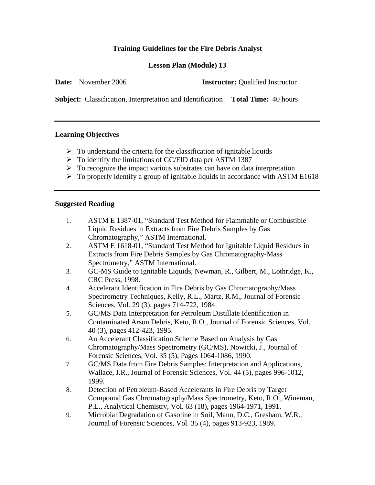# **Training Guidelines for the Fire Debris Analyst**

### **Lesson Plan (Module) 13**

|  | <b>Date:</b> November 2006 | <b>Instructor:</b> Qualified Instructor |
|--|----------------------------|-----------------------------------------|
|--|----------------------------|-----------------------------------------|

**Subject:** Classification, Interpretation and Identification **Total Time:** 40 hours

#### **Learning Objectives**

- $\triangleright$  To understand the criteria for the classification of ignitable liquids
- ¾ To identify the limitations of GC/FID data per ASTM 1387
- $\triangleright$  To recognize the impact various substrates can have on data interpretation
- $\triangleright$  To properly identify a group of ignitable liquids in accordance with ASTM E1618

#### **Suggested Reading**

- 1. ASTM E 1387-01, "Standard Test Method for Flammable or Combustible Liquid Residues in Extracts from Fire Debris Samples by Gas Chromatography," ASTM International.
- 2. ASTM E 1618-01, "Standard Test Method for Ignitable Liquid Residues in Extracts from Fire Debris Samples by Gas Chromatography-Mass Spectrometry," ASTM International.
- 3. GC-MS Guide to Ignitable Liquids, Newman, R., Gilbert, M., Lothridge, K., CRC Press, 1998.
- 4. Accelerant Identification in Fire Debris by Gas Chromatography/Mass Spectrometry Techniques, Kelly, R.L., Martz, R.M., Journal of Forensic Sciences, Vol. 29 (3), pages 714-722, 1984.
- 5. GC/MS Data Interpretation for Petroleum Distillate Identification in Contaminated Arson Debris, Keto, R.O., Journal of Forensic Sciences, Vol. 40 (3), pages 412-423, 1995.
- 6. An Accelerant Classification Scheme Based on Analysis by Gas Chromatography/Mass Spectrometry (GC/MS), Nowicki, J., Journal of Forensic Sciences, Vol. 35 (5), Pages 1064-1086, 1990.
- 7. GC/MS Data from Fire Debris Samples: Interpretation and Applications, Wallace, J.R., Journal of Forensic Sciences, Vol. 44 (5), pages 996-1012, 1999.
- 8. Detection of Petroleum-Based Accelerants in Fire Debris by Target Compound Gas Chromatography/Mass Spectrometry, Keto, R.O., Wineman, P.L., Analytical Chemistry, Vol. 63 (18), pages 1964-1971, 1991.
- 9. Microbial Degradation of Gasoline in Soil, Mann, D.C., Gresham, W.R., Journal of Forensic Sciences, Vol. 35 (4), pages 913-923, 1989.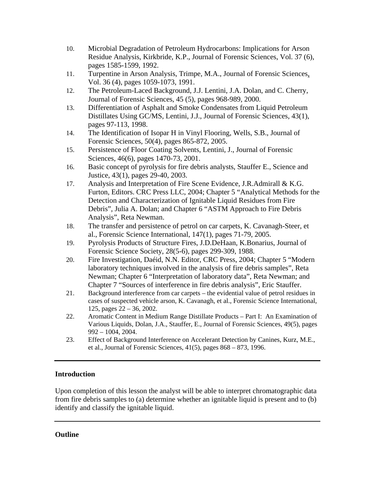- 10. Microbial Degradation of Petroleum Hydrocarbons: Implications for Arson Residue Analysis, Kirkbride, K.P., Journal of Forensic Sciences, Vol. 37 (6), pages 1585-1599, 1992.
- 11. Turpentine in Arson Analysis, Trimpe, M.A., Journal of Forensic Sciences, Vol. 36 (4), pages 1059-1073, 1991.
- 12. The Petroleum-Laced Background, J.J. Lentini, J.A. Dolan, and C. Cherry, Journal of Forensic Sciences, 45 (5), pages 968-989, 2000.
- 13. Differentiation of Asphalt and Smoke Condensates from Liquid Petroleum Distillates Using GC/MS, Lentini, J.J., Journal of Forensic Sciences, 43(1), pages 97-113, 1998.
- 14. The Identification of Isopar H in Vinyl Flooring, Wells, S.B., Journal of Forensic Sciences, 50(4), pages 865-872, 2005.
- 15. Persistence of Floor Coating Solvents, Lentini, J., Journal of Forensic Sciences, 46(6), pages 1470-73, 2001.
- 16. Basic concept of pyrolysis for fire debris analysts, Stauffer E., Science and Justice, 43(1), pages 29-40, 2003.
- 17. Analysis and Interpretation of Fire Scene Evidence, J.R.Admirall & K.G. Furton, Editors. CRC Press LLC, 2004; Chapter 5 "Analytical Methods for the Detection and Characterization of Ignitable Liquid Residues from Fire Debris", Julia A. Dolan; and Chapter 6 "ASTM Approach to Fire Debris Analysis", Reta Newman.
- 18. The transfer and persistence of petrol on car carpets, K. Cavanagh-Steer, et al., Forensic Science International, 147(1), pages 71-79, 2005.
- 19. Pyrolysis Products of Structure Fires, J.D.DeHaan, K.Bonarius, Journal of Forensic Science Society, 28(5-6), pages 299-309, 1988.
- 20. Fire Investigation, Daéid, N.N. Editor, CRC Press, 2004; Chapter 5 "Modern laboratory techniques involved in the analysis of fire debris samples", Reta Newman; Chapter 6 "Interpretation of laboratory data", Reta Newman; and Chapter 7 "Sources of interference in fire debris analysis", Eric Stauffer.
- 21. Background interference from car carpets the evidential value of petrol residues in cases of suspected vehicle arson, K. Cavanagh, et al., Forensic Science International, 125, pages 22 – 36, 2002.
- 22. Aromatic Content in Medium Range Distillate Products Part I: An Examination of Various Liquids, Dolan, J.A., Stauffer, E., Journal of Forensic Sciences, 49(5), pages 992 – 1004, 2004.
- 23. Effect of Background Interference on Accelerant Detection by Canines, Kurz, M.E., et al., Journal of Forensic Sciences, 41(5), pages 868 – 873, 1996.

# **Introduction**

Upon completion of this lesson the analyst will be able to interpret chromatographic data from fire debris samples to (a) determine whether an ignitable liquid is present and to (b) identify and classify the ignitable liquid.

# **Outline**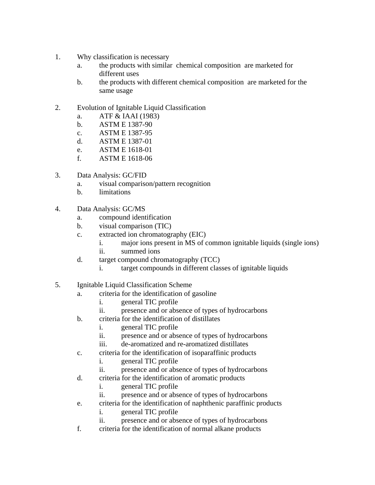- 1. Why classification is necessary
	- a. the products with similar chemical composition are marketed for different uses
	- b. the products with different chemical composition are marketed for the same usage
- 2. Evolution of Ignitable Liquid Classification
	- a. ATF & IAAI (1983)
	- b. ASTM E 1387-90
	- c. ASTM E 1387-95
	- d. ASTM E 1387-01
	- e. ASTM E 1618-01
	- f. ASTM E 1618-06
- 3. Data Analysis: GC/FID
	- a. visual comparison/pattern recognition
	- b. limitations
- 4. Data Analysis: GC/MS
	- a. compound identification
	- b. visual comparison (TIC)
	- c. extracted ion chromatography (EIC)
		- i. major ions present in MS of common ignitable liquids (single ions)
		- ii. summed ions
	- d. target compound chromatography (TCC)
		- i. target compounds in different classes of ignitable liquids
- 5. Ignitable Liquid Classification Scheme
	- a. criteria for the identification of gasoline
		- i. general TIC profile
		- ii. presence and or absence of types of hydrocarbons
	- b. criteria for the identification of distillates
		- i. general TIC profile
		- ii. presence and or absence of types of hydrocarbons
		- iii. de-aromatized and re-aromatized distillates
	- c. criteria for the identification of isoparaffinic products
		- i. general TIC profile
		- ii. presence and or absence of types of hydrocarbons
	- d. criteria for the identification of aromatic products
		- i. general TIC profile
		- ii. presence and or absence of types of hydrocarbons
	- e. criteria for the identification of naphthenic paraffinic products
		- i. general TIC profile
		- ii. presence and or absence of types of hydrocarbons
	- f. criteria for the identification of normal alkane products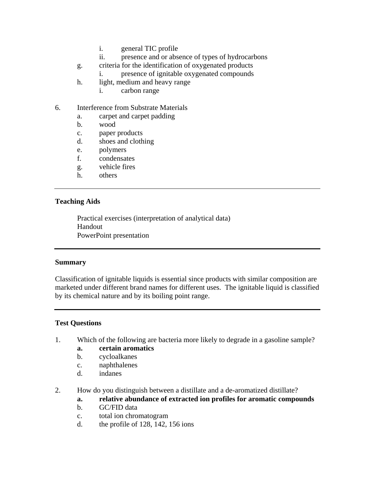- i. general TIC profile
- ii. presence and or absence of types of hydrocarbons
- g. criteria for the identification of oxygenated products
	- i. presence of ignitable oxygenated compounds
- h. light, medium and heavy range
	- i. carbon range
- 6. Interference from Substrate Materials
	- a. carpet and carpet padding
	- b. wood
	- c. paper products
	- d. shoes and clothing
	- e. polymers
	- f. condensates
	- g. vehicle fires
	- h. others

#### **Teaching Aids**

Practical exercises (interpretation of analytical data) Handout PowerPoint presentation

#### **Summary**

Classification of ignitable liquids is essential since products with similar composition are marketed under different brand names for different uses. The ignitable liquid is classified by its chemical nature and by its boiling point range.

### **Test Questions**

- 1. Which of the following are bacteria more likely to degrade in a gasoline sample?
	- **a. certain aromatics**
	- b. cycloalkanes
	- c. naphthalenes
	- d. indanes
- 2. How do you distinguish between a distillate and a de-aromatized distillate?
	- **a. relative abundance of extracted ion profiles for aromatic compounds**
	- b. GC/FID data
	- c. total ion chromatogram
	- d. the profile of 128, 142, 156 ions